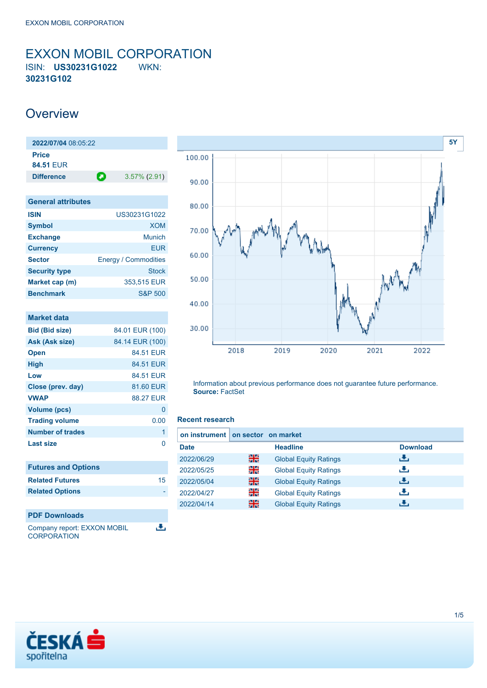### <span id="page-0-0"></span>EXXON MOBIL CORPORATION ISIN: **US30231G1022** WKN: **30231G102**

### **Overview**

| 2022/07/04 08:05:22 |   |                 |  |  |
|---------------------|---|-----------------|--|--|
| <b>Price</b>        |   |                 |  |  |
| 84.51 FUR           |   |                 |  |  |
| <b>Difference</b>   | О | $3.57\%$ (2.91) |  |  |
|                     |   |                 |  |  |

| <b>General attributes</b> |                             |
|---------------------------|-----------------------------|
| <b>ISIN</b>               | US30231G1022                |
| <b>Symbol</b>             | <b>XOM</b>                  |
| <b>Exchange</b>           | Munich                      |
| <b>Currency</b>           | EUR                         |
| <b>Sector</b>             | <b>Energy / Commodities</b> |
| <b>Security type</b>      | <b>Stock</b>                |
| Market cap (m)            | 353.515 EUR                 |
| <b>Benchmark</b>          | <b>S&amp;P 500</b>          |

| <b>Market data</b>          |                  |
|-----------------------------|------------------|
| <b>Bid (Bid size)</b>       | 84.01 EUR (100)  |
| Ask (Ask size)              | 84.14 EUR (100)  |
| <b>Open</b>                 | 84.51 EUR        |
| <b>High</b>                 | 84.51 EUR        |
| Low                         | 84.51 EUR        |
| Close (prev. day)           | 81.60 EUR        |
| <b>VWAP</b>                 | <b>88.27 EUR</b> |
| <b>Volume (pcs)</b>         | 0                |
| <b>Trading volume</b>       | 0.00             |
| <b>Number of trades</b>     | 1                |
| Last size                   | N                |
|                             |                  |
| <b>Futures and Options</b>  |                  |
| <b>Related Futures</b>      | 15               |
| <b>Related Options</b>      |                  |
|                             |                  |
| <b>PDF Downloads</b>        |                  |
| Company report: EXXON MOBIL |                  |

Company report: EXXON MOBIL **CORPORATION** 



Information about previous performance does not guarantee future performance. **Source:** FactSet

### **Recent research**

| on instrument on sector on market |    |                              |                 |
|-----------------------------------|----|------------------------------|-----------------|
| <b>Date</b>                       |    | <b>Headline</b>              | <b>Download</b> |
| 2022/06/29                        | 꾉쭍 | <b>Global Equity Ratings</b> | æ,              |
| 2022/05/25                        | 꾉뚢 | <b>Global Equity Ratings</b> | æ,              |
| 2022/05/04                        | 噐  | <b>Global Equity Ratings</b> | æ,              |
| 2022/04/27                        | 을  | <b>Global Equity Ratings</b> | æ,              |
| 2022/04/14                        | 噐  | <b>Global Equity Ratings</b> | æ.              |

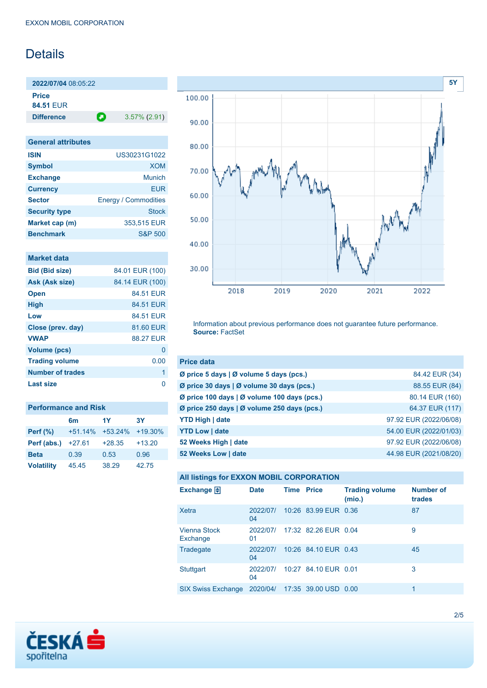## **Details**

**2022/07/04** 08:05:22 **Price 84.51** EUR

**Difference a** 3.57% (2.91)

| <b>General attributes</b> |                             |
|---------------------------|-----------------------------|
| <b>ISIN</b>               | US30231G1022                |
| <b>Symbol</b>             | <b>XOM</b>                  |
| <b>Exchange</b>           | Munich                      |
| <b>Currency</b>           | <b>EUR</b>                  |
| <b>Sector</b>             | <b>Energy / Commodities</b> |
| <b>Security type</b>      | <b>Stock</b>                |
| Market cap (m)            | 353,515 EUR                 |
| <b>Benchmark</b>          | <b>S&amp;P 500</b>          |

| <b>Market data</b> |  |  |
|--------------------|--|--|
|                    |  |  |
|                    |  |  |

| <b>Bid (Bid size)</b> | 84.01 EUR (100) |
|-----------------------|-----------------|
| Ask (Ask size)        | 84.14 EUR (100) |
| <b>Open</b>           | 84.51 FUR       |
| <b>High</b>           | 84.51 EUR       |
| Low                   | 84.51 FUR       |
| Close (prev. day)     | 81.60 EUR       |
| <b>VWAP</b>           | 88.27 FUR       |
| <b>Volume (pcs)</b>   | O               |
| <b>Trading volume</b> | 0.00            |
| Number of trades      | 1               |
| <b>Last size</b>      | n               |

| <b>Performance and Risk</b> |                       |           |           |  |  |  |  |
|-----------------------------|-----------------------|-----------|-----------|--|--|--|--|
|                             | <b>3Y</b><br>1Y<br>6m |           |           |  |  |  |  |
| <b>Perf (%)</b>             | $+51.14%$             | $+53.24%$ | $+19.30%$ |  |  |  |  |
| Perf (abs.)                 | $+27.61$              | $+28.35$  | $+13.20$  |  |  |  |  |
| <b>Beta</b>                 | 0.39                  | 0.53      | 0.96      |  |  |  |  |
| <b>Volatility</b>           | 45.45                 | 38.29     | 42.75     |  |  |  |  |



Information about previous performance does not guarantee future performance. **Source:** FactSet

| <b>Price data</b>                           |                        |
|---------------------------------------------|------------------------|
| Ø price 5 days   Ø volume 5 days (pcs.)     | 84.42 EUR (34)         |
| Ø price 30 days   Ø volume 30 days (pcs.)   | 88.55 EUR (84)         |
| Ø price 100 days   Ø volume 100 days (pcs.) | 80.14 EUR (160)        |
| Ø price 250 days   Ø volume 250 days (pcs.) | 64.37 EUR (117)        |
| <b>YTD High   date</b>                      | 97.92 EUR (2022/06/08) |
| <b>YTD Low   date</b>                       | 54.00 EUR (2022/01/03) |
| 52 Weeks High   date                        | 97.92 EUR (2022/06/08) |
| 52 Weeks Low   date                         | 44.98 EUR (2021/08/20) |

|  |  | <b>All listings for EXXON MOBIL CORPORATION</b> |
|--|--|-------------------------------------------------|
|--|--|-------------------------------------------------|

| Exchange $\Box$           | <b>Date</b>    | <b>Time Price</b> |                               | <b>Trading volume</b><br>(mio.) | <b>Number of</b><br>trades |
|---------------------------|----------------|-------------------|-------------------------------|---------------------------------|----------------------------|
| <b>Xetra</b>              | 2022/07/<br>04 |                   | 10:26 83.99 EUR 0.36          |                                 | 87                         |
| Vienna Stock<br>Exchange  | 2022/07/<br>01 |                   | 17:32 82.26 EUR 0.04          |                                 | 9                          |
| Tradegate                 | 2022/07/<br>04 |                   | 10:26 84.10 EUR 0.43          |                                 | 45                         |
| <b>Stuttgart</b>          | 2022/07/<br>04 |                   | 10:27 84.10 EUR 0.01          |                                 | 3                          |
| <b>SIX Swiss Exchange</b> |                |                   | 2020/04/ 17:35 39.00 USD 0.00 |                                 | 1                          |

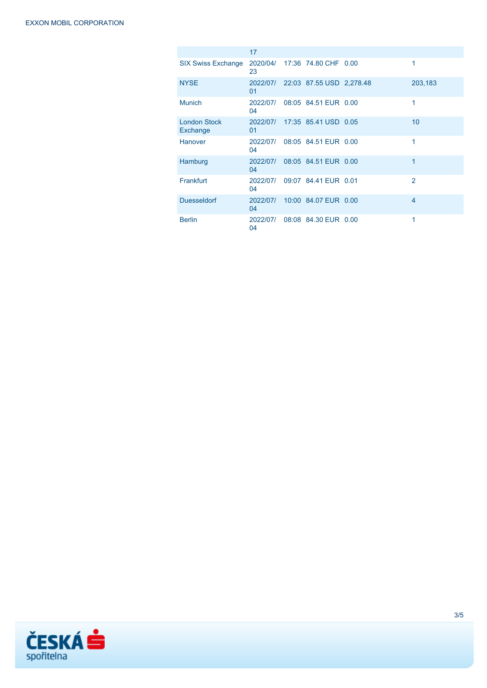|                                 | 17             |                                   |                |
|---------------------------------|----------------|-----------------------------------|----------------|
| <b>SIX Swiss Exchange</b>       | 23             | 2020/04/ 17:36 74.80 CHF 0.00     | 1              |
| <b>NYSE</b>                     | 01             | 2022/07/ 22:03 87.55 USD 2,278.48 | 203,183        |
| <b>Munich</b>                   | 2022/07/<br>04 | 08:05 84.51 EUR 0.00              | 1              |
| <b>London Stock</b><br>Exchange | 2022/07/<br>01 | 17:35 85.41 USD 0.05              | 10             |
| Hanover                         | 2022/07/<br>04 | 08:05 84.51 EUR 0.00              | 1              |
| Hamburg                         | 2022/07/<br>04 | 08:05 84.51 EUR 0.00              | 1              |
| Frankfurt                       | 2022/07/<br>04 | 09:07 84.41 EUR 0.01              | $\overline{2}$ |
| <b>Duesseldorf</b>              | 2022/07/<br>04 | 10:00 84.07 EUR 0.00              | $\overline{4}$ |
| <b>Berlin</b>                   | 2022/07/<br>04 | 08:08 84.30 EUR 0.00              | 1              |

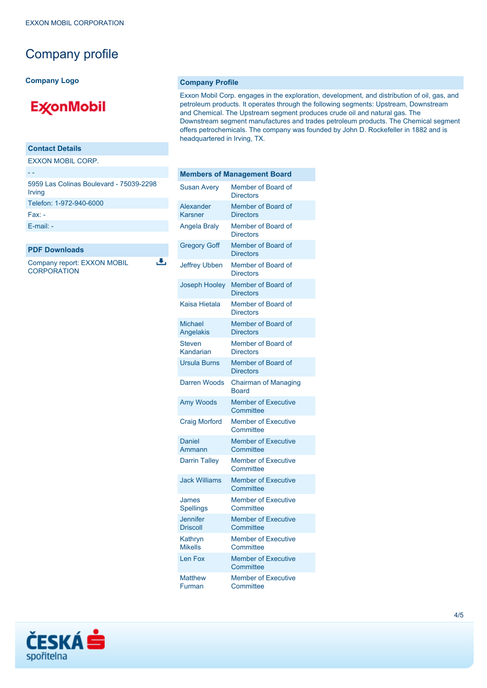### Company profile

**Company Logo**

# **ExconMobil**

### **Contact Details**

EXXON MOBIL CORP.

| 5959 Las Colinas Boulevard - 75039-2298<br>Irving |
|---------------------------------------------------|
| Telefon: 1-972-940-6000                           |
| $Fax -$                                           |
| $E$ -mail: -                                      |

### **PDF Downloads**

Company report: EXXON MOBIL **CORPORATION** 

رائي

### **Company Profile**

Exxon Mobil Corp. engages in the exploration, development, and distribution of oil, gas, and petroleum products. It operates through the following segments: Upstream, Downstream and Chemical. The Upstream segment produces crude oil and natural gas. The Downstream segment manufactures and trades petroleum products. The Chemical segment offers petrochemicals. The company was founded by John D. Rockefeller in 1882 and is headquartered in Irving, TX.

| <b>Members of Management Board</b> |                                             |  |
|------------------------------------|---------------------------------------------|--|
| <b>Susan Avery</b>                 | Member of Board of<br><b>Directors</b>      |  |
| Alexander<br><b>Karsner</b>        | Member of Board of<br><b>Directors</b>      |  |
| <b>Angela Braly</b>                | Member of Board of<br><b>Directors</b>      |  |
| <b>Gregory Goff</b>                | Member of Board of<br><b>Directors</b>      |  |
| <b>Jeffrey Ubben</b>               | Member of Board of<br><b>Directors</b>      |  |
| <b>Joseph Hooley</b>               | Member of Board of<br><b>Directors</b>      |  |
| Kaisa Hietala                      | Member of Board of<br><b>Directors</b>      |  |
| <b>Michael</b><br>Angelakis        | Member of Board of<br><b>Directors</b>      |  |
| <b>Steven</b><br>Kandarian         | Member of Board of<br><b>Directors</b>      |  |
| <b>Ursula Burns</b>                | Member of Board of<br><b>Directors</b>      |  |
| Darren Woods                       | <b>Chairman of Managing</b><br><b>Board</b> |  |
| Amy Woods                          | <b>Member of Executive</b><br>Committee     |  |
| <b>Craig Morford</b>               | <b>Member of Executive</b><br>Committee     |  |
| <b>Daniel</b><br>Ammann            | <b>Member of Executive</b><br>Committee     |  |
| <b>Darrin Talley</b>               | <b>Member of Executive</b><br>Committee     |  |
| <b>Jack Williams</b>               | <b>Member of Executive</b><br>Committee     |  |
| James<br><b>Spellings</b>          | <b>Member of Executive</b><br>Committee     |  |
| <b>Jennifer</b><br><b>Driscoll</b> | <b>Member of Executive</b><br>Committee     |  |
| Kathryn<br><b>Mikells</b>          | <b>Member of Executive</b><br>Committee     |  |
| Len Fox                            | <b>Member of Executive</b><br>Committee     |  |
| <b>Matthew</b><br>Furman           | <b>Member of Executive</b><br>Committee     |  |